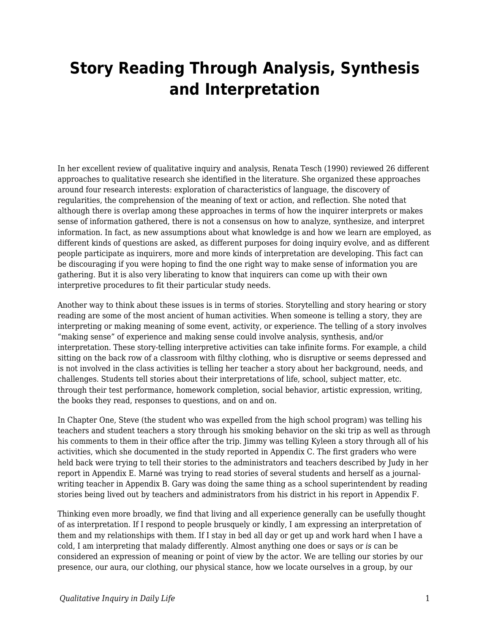## **Story Reading Through Analysis, Synthesis and Interpretation**

In her excellent review of qualitative inquiry and analysis, Renata Tesch (1990) reviewed 26 different approaches to qualitative research she identified in the literature. She organized these approaches around four research interests: exploration of characteristics of language, the discovery of regularities, the comprehension of the meaning of text or action, and reflection. She noted that although there is overlap among these approaches in terms of how the inquirer interprets or makes sense of information gathered, there is not a consensus on how to analyze, synthesize, and interpret information. In fact, as new assumptions about what knowledge is and how we learn are employed, as different kinds of questions are asked, as different purposes for doing inquiry evolve, and as different people participate as inquirers, more and more kinds of interpretation are developing. This fact can be discouraging if you were hoping to find the one right way to make sense of information you are gathering. But it is also very liberating to know that inquirers can come up with their own interpretive procedures to fit their particular study needs.

Another way to think about these issues is in terms of stories. Storytelling and story hearing or story reading are some of the most ancient of human activities. When someone is telling a story, they are interpreting or making meaning of some event, activity, or experience. The telling of a story involves "making sense" of experience and making sense could involve analysis, synthesis, and/or interpretation. These story-telling interpretive activities can take infinite forms. For example, a child sitting on the back row of a classroom with filthy clothing, who is disruptive or seems depressed and is not involved in the class activities is telling her teacher a story about her background, needs, and challenges. Students tell stories about their interpretations of life, school, subject matter, etc. through their test performance, homework completion, social behavior, artistic expression, writing, the books they read, responses to questions, and on and on.

In Chapter One, Steve (the student who was expelled from the high school program) was telling his teachers and student teachers a story through his smoking behavior on the ski trip as well as through his comments to them in their office after the trip. Jimmy was telling Kyleen a story through all of his activities, which she documented in the study reported in Appendix C. The first graders who were held back were trying to tell their stories to the administrators and teachers described by Judy in her report in Appendix E. Marné was trying to read stories of several students and herself as a journalwriting teacher in Appendix B. Gary was doing the same thing as a school superintendent by reading stories being lived out by teachers and administrators from his district in his report in Appendix F.

Thinking even more broadly, we find that living and all experience generally can be usefully thought of as interpretation. If I respond to people brusquely or kindly, I am expressing an interpretation of them and my relationships with them. If I stay in bed all day or get up and work hard when I have a cold, I am interpreting that malady differently. Almost anything one does or says or *is* can be considered an expression of meaning or point of view by the actor. We are telling our stories by our presence, our aura, our clothing, our physical stance, how we locate ourselves in a group, by our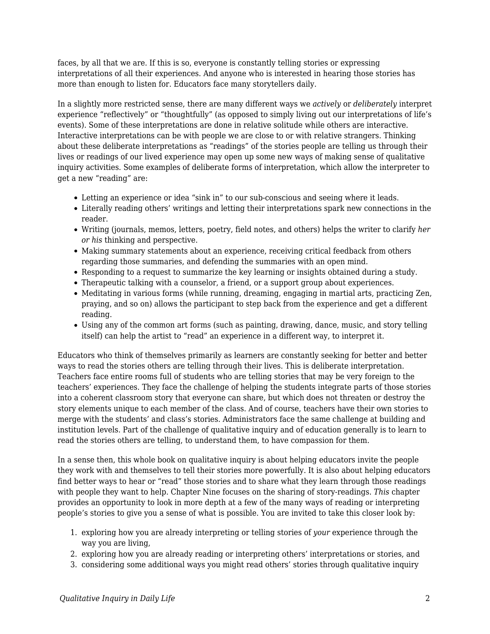faces, by all that we are. If this is so, everyone is constantly telling stories or expressing interpretations of all their experiences. And anyone who is interested in hearing those stories has more than enough to listen for. Educators face many storytellers daily.

In a slightly more restricted sense, there are many different ways we *actively* or *deliberately* interpret experience "reflectively" or "thoughtfully" (as opposed to simply living out our interpretations of life's events). Some of these interpretations are done in relative solitude while others are interactive. Interactive interpretations can be with people we are close to or with relative strangers. Thinking about these deliberate interpretations as "readings" of the stories people are telling us through their lives or readings of our lived experience may open up some new ways of making sense of qualitative inquiry activities. Some examples of deliberate forms of interpretation, which allow the interpreter to get a new "reading" are:

- Letting an experience or idea "sink in" to our sub-conscious and seeing where it leads.
- Literally reading others' writings and letting their interpretations spark new connections in the reader.
- Writing (journals, memos, letters, poetry, field notes, and others) helps the writer to clarify *her or his* thinking and perspective.
- Making summary statements about an experience, receiving critical feedback from others regarding those summaries, and defending the summaries with an open mind.
- Responding to a request to summarize the key learning or insights obtained during a study.
- Therapeutic talking with a counselor, a friend, or a support group about experiences.
- Meditating in various forms (while running, dreaming, engaging in martial arts, practicing Zen, praying, and so on) allows the participant to step back from the experience and get a different reading.
- Using any of the common art forms (such as painting, drawing, dance, music, and story telling itself) can help the artist to "read" an experience in a different way, to interpret it.

Educators who think of themselves primarily as learners are constantly seeking for better and better ways to read the stories others are telling through their lives. This is deliberate interpretation. Teachers face entire rooms full of students who are telling stories that may be very foreign to the teachers' experiences. They face the challenge of helping the students integrate parts of those stories into a coherent classroom story that everyone can share, but which does not threaten or destroy the story elements unique to each member of the class. And of course, teachers have their own stories to merge with the students' and class's stories. Administrators face the same challenge at building and institution levels. Part of the challenge of qualitative inquiry and of education generally is to learn to read the stories others are telling, to understand them, to have compassion for them.

In a sense then, this whole book on qualitative inquiry is about helping educators invite the people they work with and themselves to tell their stories more powerfully. It is also about helping educators find better ways to hear or "read" those stories and to share what they learn through those readings with people they want to help. Chapter Nine focuses on the sharing of story-readings. *This* chapter provides an opportunity to look in more depth at a few of the many ways of reading or interpreting people's stories to give you a sense of what is possible. You are invited to take this closer look by:

- 1. exploring how you are already interpreting or telling stories of *your* experience through the way you are living,
- 2. exploring how you are already reading or interpreting others' interpretations or stories, and
- 3. considering some additional ways you might read others' stories through qualitative inquiry